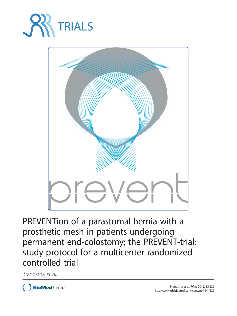



PREVENTion of a parastomal hernia with a prosthetic mesh in patients undergoing permanent end-colostomy; the PREVENT-trial: study protocol for a multicenter randomized controlled trial

Brandsma et al.

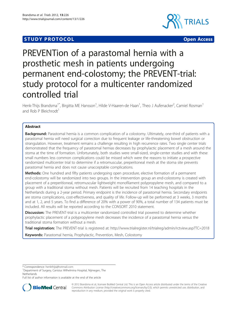# **STUDY PROTOCOL CONSUMING THE CONSUMING OPEN ACCESS**





# PREVENTion of a parastomal hernia with a prosthetic mesh in patients undergoing permanent end-colostomy; the PREVENT-trial: study protocol for a multicenter randomized controlled trial

Henk-Thijs Brandsma<sup>1\*</sup>, Birgitta ME Hansson<sup>1</sup>, Hilde V-Haaren-de Haan<sup>1</sup>, Theo J Aufenacker<sup>2</sup>, Camiel Rosman<sup>1</sup> and Rob P Bleichrodt<sup>1</sup>

# Abstract

Background: Parastomal hernia is a common complication of a colostomy. Ultimately, one-third of patients with a parastomal hernia will need surgical correction due to frequent leakage or life-threatening bowel obstruction or strangulation. However, treatment remains a challenge resulting in high recurrence rates. Two single center trials demonstrated that the frequency of parastomal hernias decreases by prophylactic placement of a mesh around the stoma at the time of formation. Unfortunately, both studies were small-sized, single-center studies and with these small numbers less common complications could be missed which were the reasons to initiate a prospective randomized multicenter trial to determine if a retromuscular, preperitoneal mesh at the stoma site prevents parastomal hernia and does not cause unacceptable complications.

Methods: One hundred and fifty patients undergoing open procedure, elective formation of a permanent end-colostomy will be randomized into two groups. In the intervention group an end-colostomy is created with placement of a preperitioneal, retromuscular lightweight monofilament polypropylene mesh, and compared to a group with a traditional stoma without mesh. Patients will be recruited from 14 teaching hospitals in the Netherlands during a 2-year period. Primary endpoint is the incidence of parastomal hernia. Secondary endpoints are stoma complications, cost-effectiveness, and quality of life. Follow-up will be performed at 3 weeks, 3 months and at 1, 2, and 5 years. To find a difference of 20% with a power of 90%, a total number of 134 patients must be included. All results will be reported according to the CONSORT 2010 statement.

**Discussion:** The PREVENT-trial is a multicenter randomized controlled trial powered to determine whether prophylactic placement of a polypropylene mesh decreases the incidence of a parastomal hernia versus the traditional stoma formation without a mesh.

Trial registration: The PREVENT-trial is registered at:<http://www.trialregister.nl/trialreg/admin/rctview.asp?TC=2018>

Keywords: Parastomal hernia, Prophylactic, Prevention, Mesh, Colostomy

\* Correspondence: [henkthijs@hotmail.com](mailto:henkthijs@hotmail.com) <sup>1</sup>

Department of Surgery, Canisius Wilhelmina Hospital, Nijmegen, The Netherlands

Full list of author information is available at the end of the article



© 2012 Brandsma et al.; licensee BioMed Central Ltd. This is an Open Access article distributed under the terms of the Creative Commons Attribution License [\(http://creativecommons.org/licenses/by/2.0\)](http://creativecommons.org/licenses/by/2.0), which permits unrestricted use, distribution, and reproduction in any medium, provided the original work is properly cited.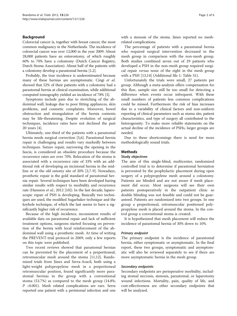# Background

Colorectal cancer is, together with breast cancer, the most common malignancy in the Netherlands. The incidence of colorectal cancer was over 12,000 in the year 2009. About 28,000 patients have an enterostomy, of which roughly 60% to 70% have a colostomy (Dutch Cancer Registry, Dutch Stoma Association). About half of the patients with a colostomy develop a parastomal hernia [\[1,2](#page-5-0)].

Probably, the true incidence is underestimated because many of these hernias are asymptomatic. Cingi et al. showed that 52% of their patients with a colostomy had a parastomal hernia at clinical examination, while additional computed tomography yielded an incidence of 78% [[3\]](#page-5-0).

Symptoms include pain due to stretching of the abdominal wall, leakage due to poor fitting appliances, skin problems, and cosmetic complaints. Moreover, bowel obstruction and strangulation of the hernia contents may be life-threatening. Despite evolution of surgical techniques, incidence rates have not declined the past 20 years [\[4](#page-5-0)].

Ultimately, one-third of the patients with a parastomal hernia needs surgical correction [[5](#page-5-0),[6](#page-5-0)]. Parastomal hernia repair is challenging and results vary markedly between techniques. Suture repair, narrowing the opening in the fascia, is considered an obsolete procedure because the recurrence rates are over 70%. Relocation of the stoma is associated with a recurrence rate of 33% with an additional risk of developing an incisional hernia in the midline or at the old ostomy site of 20% [\[2,7](#page-5-0)-[9\]](#page-5-0). Nowadays, prosthetic repair is the gold standard of parastomal hernia repair. Several techniques have been developed having similar results with respect to morbidity and recurrence rate (Hansson et al., 2012 [[10](#page-5-0)]). In the last decade, laparoscopic repair of PSH is developing. Basically two techniques are used, the modified Sugarbaker technique and the keyhole technique, of which the last seems to have a significantly higher risk of recurrence.

Because of the high incidence, inconsistent results of available data on parastomal repair and lack of sufficient treatment options, surgeons started focusing on prevention of the hernia with local reinforcement of the abdominal wall using a prosthetic mesh. At time of writing the PREVENT-trial protocol in 2009, only a few reports on this topic were published.

Two recent reviews showed that parastomal hernias can be prevented by the placement of a preperitoneal, retromuscular mesh around the stoma [[11,12\]](#page-5-0). Randomized trials from Jänes and Serra-Aracil, both using a light-weight polypropylene mesh in a preperitoneal retromuscular position, found significantly more parastomal hernias in the group with a conventional stoma (53.7%) as compared to the mesh group (14.8%; P <0.001). Mesh related complications are rare. Serra reported one patient with a peristomal infection and one with a stenosis of the stoma. Jänes reported no meshrelated complications.

The percentage of patients with a parastomal hernia who required surgical intervention decreased in the mesh group in comparison with the non-mesh group. Both studies combined seven out of 29 patients who developed a PSH in the non-mesh group required surgical repair versus none of the eight in the mesh group with a PSH [\[13,14\]](#page-5-0) (Additional file [1:](#page-5-0) Table S1).

Unfortunately the trials were small, 27 patients per group. Although a meta-analysis offers compensation for this flaw, sample size still be too small for detecting a difference when events occur infrequent. With these small numbers of patients less common complications could be missed. Furthermore the risk of bias increases due to a variability of clinical factors and non-uniform reporting of clinical parameters such as stoma site, patient characteristics, and type of surgery all contributed to the heterogeneity. To make more reliable statements on the actual decline of the incidence of PSHs, larger groups are needed.

Due to these shortcomings there is need for more methodologically sound trials.

# **Methods**

#### Study objectives

The aim of this single-blind, multicenter, randomized controlled trial is to determine if parastomal herniation is prevented by the prophylactic placement during open surgery of a polypropylene mesh around a colostomy. Patients are blinded and are not aware if mesh placement did occur. Most surgeons will see their own patients postoperatively in the outpatient clinic so double blinding was not feasible and could not be guaranteed. Patients are randomized into two groups. In one group a preperitoneal, retromuscular positioned polypropylene mesh is placed around the stoma. In the control group a conventional stoma is created.

It is hypothesized that mesh placement will reduce the incidence of parastomal hernia of 30% down to 10%.

#### Primary endpoint

The primary endpoint is the incidence of parastomal hernia, either symptomatic or asymptomatic. In the final report, these two groups, symptomatic and asymptomatic will also be reviewed separately to see if there are more asymptomatic hernia in the mesh group.

#### Secondary endpoints

Secondary endpoints are perioperative morbidity, including stomal necrosis, stenosis, parastomal, or laparotomy wound infections. Mortality, pain, quality of life, and cost-effectiveness are other secondary endpoints that will be analyzed.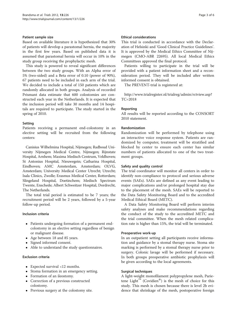#### Patient sample size

Based on available literature it is hypothesized that 30% of patients will develop a parastomal hernia, the majority in the first few years. Based on published data it is assumed that parastomal hernia will occur in 10% in the study group receiving the prophylactic mesh.

This study is powered to reveal significant differences between the two study groups. With an Alpha error of 5% (two-sided) and a Beta error of 0.10 (power of 90%), 67 patients need to be included in each arm of the trial. We decided to include a total of 150 patients which are randomly allocated in both groups. Analysis of recorded Prismant data estimate that 600 colostomies are constructed each year in the Netherlands. It is expected that the inclusion period will take 30 months and 14 hospitals are required to participate. The study started in the spring of 2010.

#### Setting

Patients receiving a permanent end-colostomy in an elective setting will be recruited from the following centers:

Canisius Wilhelmina Hospital, Nijmegen; Radboud University Nijmegen Medical Centre, Nijmegen; Rijnstate Hospital, Arnhem; Maxima Medisch Centrum, Veldhoven; St Antonius Hospital, Nieuwegein; Catharina Hospital, Eindhoven; AMC Amsterdam, Amsterdam; OLVG, Amsterdam; University Medical Center Utrecht; Utrecht; Isala Clinics, Zwolle; Erasmus Medical Center, Rotterdam; Slingeland Hospital, Doetinchem; Medisch Spectrum Twente, Enschede; Albert Schweitzer Hospital, Dordrecht, The Netherlands.

The total trial period is estimated to be 7 years; the recruitment period will be 2 years, followed by a 5-year follow-up period.

# Inclusion criteria

- Patients undergoing formation of a permanent endcolostomy in an elective setting regardless of benign or malignant disease.
- Age between 18 and 85 years.
- Signed informed consent.
- Able to understand the study questionnaires.

# Exclusion criteria

- Expected survival <12 months.
- Stoma formation in an emergency setting.
- Formation of an ileostomy.
- Correction of a previous constructed colostomy.
- Previous surgery at the colostomy site.

#### Ethical considerations

This trial is conducted in accordance with the Declaration of Helsinki and 'Good Clinical Practice Guidelines'. It is approved by the Medical Ethics Committee of Nijmegen (CMO-ABR 22695). All local Medical Ethics Committees approved the final protocol.

Patients willing to participate in the trial will be provided with a patient information sheet and a reconsideration period. They will be included after written informed consent is obtained.

The PREVENT-trial is registered at:

[http://www.trialregister.nl/trialreg/admin/rctview.asp?](http://www.trialregister.nl/trialreg/admin/rctview.asp?TC=2018) [TC=2018](http://www.trialregister.nl/trialreg/admin/rctview.asp?TC=2018)

# Reporting

All results will be reported according to the CONSORT 2010 statement.

#### Randomization

Randomization will be performed by telephone using an interactive voice response system. Patients are randomized by computer, treatment will be stratified and blocked by center to ensure each center has similar numbers of patients allocated to one of the two treatment groups.

# Safety and quality control

The trial coordinator will monitor all centers in order to identify non-compliance to protocol and serious adverse events (SAEs). SAEs are defined as any event leading to major complications and/or prolonged hospital stay due to the placement of the mesh. SAEs will be reported to the Data Safety Monitoring Board and to the accredited Medical Ethical Board (METC).

A Data Safety Monitoring Board will perform interim safety analyses and make recommendations regarding the conduct of the study to the accredited METC and the trial committee. When the mesh related complication rate is higher than 15%, the trial will be terminated.

# Preoperative work-up

In an outpatient setting all participants receive information and guidance by a stomal therapy nurse. Stoma site marking is performed by a stomal therapy nurse prior to surgery. Colonic lavage will be performed if necessary. In both groups preoperative antibiotic prophylaxis will be given according to the local agreements.

#### Surgical techniques

A light-weight monofilament polypropylene mesh, Parietene Light<sup>™</sup> (Covidien<sup>®</sup>) is the mesh of choice for this study. This mesh is chosen because there is level 2b evidence that shrinkage of the mesh, postoperative foreign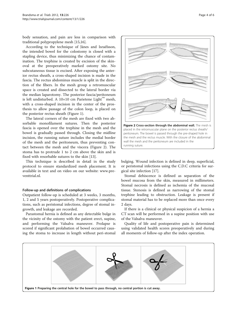body sensation, and pain are less in comparison with traditional polypropylene mesh [\[15,16](#page-6-0)].

According to the technique of Jänes and Israëlsson, the intended bowel for the colostomy is closed with a stapling device, thus minimizing the chance of contamination. The trephine is created by excision of the skinoval at the preoperatively marked ostomy site. No subcutaneous tissue is excised. After exposing the anterior rectus sheath, a cross-shaped incision is made in the fascia. The rectus abdominus muscle is split in the direction of the fibers. In the mesh group a retromuscular space is created and dissected to the lateral border via the median laparotomy. The posterior fascia/peritoneum is left undisturbed. A  $10\times10$  cm Parietene Light<sup>™</sup> mesh, with a cross-shaped incision in the center of the prosthesis to allow passage of the colon loop, is placed on the posterior rectus sheath (Figure 1).

The lateral corners of the mesh are fixed with two absorbable monofilament sutures. Then the posterior fascia is opened over the trephine in the mesh and the bowel is gradually passed through. Closing the midline incision, the running suture includes the medial border of the mesh and the peritoneum, thus preventing contact between the mesh and the viscera (Figure 2). The stoma has to protrude 1 to 2 cm above the skin and is fixed with resorbable sutures to the skin [[13](#page-5-0)].

This technique is described in detail in the study protocol to ensure standardized mesh placement. It is available in text and on video on our website: [www.pre](http://www.preventtrial.nl)[venttrial.nl.](http://www.preventtrial.nl)

#### Follow-up and definitions of complications

Outpatient follow-up is scheduled at 3 weeks, 3 months, 1, 2 and 5 years postoperatively. Postoperative complications, such as peristomal infections, degree of stomal ingrowth, and leakage are recorded.

Parastomal hernia is defined as any detectable bulge in the vicinity of the ostomy with the patient erect, supine, and performing the Valsalva maneuver. Prolapse is scored if significant prolabation of bowel occurred causing the stoma to increase in length without peri-stomal



running suture.

bulging. Wound infection is defined in deep, superficial, or peristomal infections using the C.D.C criteria for surgical site infection [\[17](#page-6-0)].

Stomal dehiscence is defined as separation of the bowel mucosa from the skin, measured in millimeters. Stomal necrosis is defined as ischemia of the mucosal tissue. Stenosis is defined as narrowing of the stomal trephine leading to obstruction. Leakage is present if stomal material has to be replaced more than once every 2 days.

If there is a clinical or physical suspicion of a hernia a CT scan will be performed in a supine position with use of the Valsalva maneuver.

Quality of life and postoperative pain is determined using validated health scores preoperatively and during all moments of follow-up after the index operation.

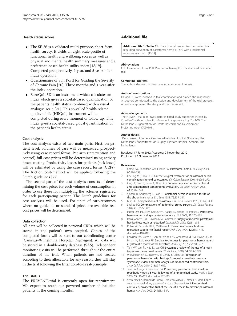#### <span id="page-5-0"></span>Health status scores

- The SF-36 is a validated multi-purpose, short-form health survey. It yields an eight-scale profile of functional health and wellbeing scores as well as physical and mental health summary measures and a preference-based health utility index [[18](#page-6-0),[19](#page-6-0)]. Completed preoperatively, 1 year, and 5 years after index operation.
- Questionnaire of von Korff for Grading the Severity of Chronic Pain [[20](#page-6-0)]. Three months and 1 year after the index operation.
- EuroQoL-5D is an instrument which calculates an index which gives a societal-based quantification of the patients health status combined with a visual analogue scale [\[21\]](#page-6-0). This so-called health-related quality of life (HRQoL) instrument will be completed during every moment of follow-up. This index gives a societal-based global quantification of the patient's health status.

#### Cost analysis

The cost analysis exists of two main parts. First, on patient level, volumes of care will be measured prospectively using case record forms. Per arm (intervention and control) full cost-prices will be determined using activity based costing. Productivity losses for patients (sick leave) will be estimated by using the case record forms (CRFs). The friction cost-method will be applied following the Dutch guidelines [[22\]](#page-6-0).

The second part of the cost analysis consists of determining the cost prices for each volume of consumption in order to use these for multiplying the volumes registered for each participating patient. The Dutch guidelines for cost analyses will be used. For units of care/resources where no guideline or standard prices are available real cost prices will be determined.

#### Data collection

All data will be collected in personal CRFs, which will be stored in the patient's own hospital. Copies of the completed forms will be sent to our coordinating center (Canisius-Wilhelmina Hospital, Nijmegen). All data will be stored in a double-entry database (SAS). Independent monitoring visits will be performed throughout the entire duration of the trial. When patients are not treated according to their allocation, for any reason, they will stay in the trial following the Intention-to-Treat-principle.

# Trial status

The PREVENT-trial is currently open for recruitment. We expect to reach our powered number of included patients in the coming months.

# Additional file

[Additional file 1: Table S1.](http://www.biomedcentral.com/content/supplementary/1745-6215-13-226-S1.pdf) Data from all randomised controlled trials regarding prevention of parastomal hernia's (PSH) with a peristomal retromuscular mesh [13,14].

#### Abbreviations

CRF: Case record form; PSH: Parastomal hernia; RCT: Randomized Controlled trial.

#### Competing interests

The authors declare that they have no competing interests.

#### Authors' contributions

HB and BH were involved in trial coordination and drafted the manuscript. All authors contributed to the design and development of the trial protocol. All authors approved the study and this manuscript.

#### Acknowledgements

The PREVENT-trial is an investigator-initiated study supported in part by Covidien<sup>®</sup> without scientific influence. It is sponsored by ZonMW, The Netherlands Organization for Health Research and Development. Project number 170991011.

#### Author details

<sup>1</sup>Department of Surgery, Canisius Wilhelmina Hospital, Nijmegen, The Netherlands. <sup>2</sup>Department of Surgery, Rijnstate Hospital, Arnhem, The Netherlands.

#### Received: 17 June 2012 Accepted: 2 November 2012 Published: 27 November 2012

#### References

- 1. Carne PW, Robertson GM, Frizelle FA: Parastomal hernia. Br J Surg 2003, 90:784–793.
- 2. Cheung MT, Chia NH, Chiu WY: Surgical treatment of parastomal hernia complicating sigmoid colostomies. Dis Colon Rectum 2001, 44:266–270.
- 3. Cingi A, Cakir T, Sever A, Aktan AO: Enterostomy site hernias: a clinical and computerized tomographic evaluation. Dis Colon Rectum 2006, 49:1559–1563.
- 4. Sjodahl R, Anderberg B, Bolin T: Parastomal hernia in relation to site of the abdominal stoma. Br J Surg 1988, 75:339-341.
- 5. Burns FJ: Complications of colostomy. Dis Colon Rectum 1970, 13:448–450.
- 6. Shellito PC: Complications of abdominal stoma surgery. Dis Colon Rectum 1998, 41:1562–1572.
- 7. Pastor DM, Pauli EM, Koltun WA, Haluck RS, Shope TR, Poritz LS: Parastomal hernia repair: a single center experience. JSLS 2009, 13:170–175.
- 8. Riansuwan W, Hull TL, Millan MM, Hammel JP: Surgery of recurrent parastomal hernia: direct repair or relocation? Colorectal Dis 2010, 12:681-686.
- 9. Rubin MS, Schoetz DJ Jr, Matthews JB: Parastomal hernia. Is stoma relocation superior to fascial repair? Arch Surg 1994, 129:413–418. discussion 418-419.
- 10. Hansson BM, Slater NJ, van der Velden AS, Groenewoud HM, Buyne OR, de Hingh IH, Bleichrodt RP: Surgical techniques for parastomal hernia repair: a systematic review of the literature. Ann Surg 2012, 255:685–695.
- 11. Tam KW, Wei PL, Kuo LJ, Wu CH: Systematic review of the use of a mesh to prevent parastomal hernia. World J Surg 2010, 34:2723–2729.
- 12. Wijeyekoon SP, Gurusamy K, El-Gendy K, Chan CL: Prevention of parastomal herniation with biologic/composite prosthetic mesh: a systematic review and meta-analysis of randomized controlled trials. J Am Coll Surg 2010, 211:637–645.
- 13. Janes A, Cengiz Y, Israelsson LA: Preventing parastomal hernia with a prosthetic mesh: a 5-year follow-up of a randomized study. World J Surg 2009, 33:118–121. discussion 122-113.
- 14. Serra-Aracil X, Bombardo-Junca J, Moreno-Matias J, Darnell A, Mora-Lopez L, Alcantara-Moral M, Ayguavives-Garnica I, Navarro-Soto S: Randomized, controlled, prospective trial of the use of a mesh to prevent parastomal hernia. Ann Surg 2009, 249:583–587.